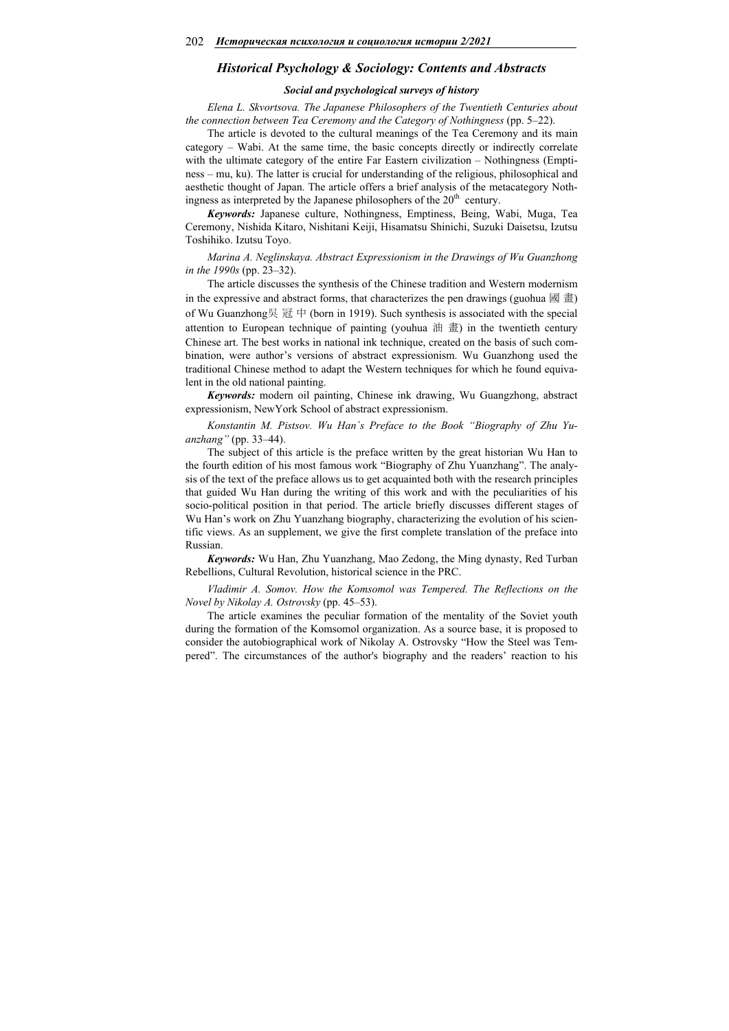### *Historical Psychology & Sociology: Contents and Abstracts*

### *Social and psychological surveys of history*

*Elena L. Skvortsova. The Japanese Philosophers of the Twentieth Centuries about the connection between Tea Ceremony and the Category of Nothingness* (pp. 5–22).

The article is devoted to the cultural meanings of the Tea Ceremony and its main category – Wabi. At the same time, the basic concepts directly or indirectly correlate with the ultimate category of the entire Far Eastern civilization - Nothingness (Emptiness – mu, ku). The latter is crucial for understanding of the religious, philosophical and aesthetic thought of Japan. The article offers a brief analysis of the metacategory Nothingness as interpreted by the Japanese philosophers of the  $20<sup>th</sup>$  century.

*Keywords:* Japanese culture, Nothingness, Emptiness, Being, Wabi, Muga, Tea Ceremony, Nishida Kitaro, Nishitani Keiji, Hisamatsu Shinichi, Suzuki Daisetsu, Izutsu Toshihiko. Izutsu Toyo.

*Marina A. Neglinskaya. Abstract Expressionism in the Drawings of Wu Guanzhong in the 1990s* (pp. 23–32).

The article discusses the synthesis of the Chinese tradition and Western modernism in the expressive and abstract forms, that characterizes the pen drawings (guohua  $\mathbb{B} \triangleq$ ) of Wu Guanzhong吳 冠 中 (born in 1919). Such synthesis is associated with the special attention to European technique of painting (youhua 油 畫) in the twentieth century Chinese art. The best works in national ink technique, created on the basis of such combination, were author's versions of abstract expressionism. Wu Guanzhong used the traditional Chinese method to adapt the Western techniques for which he found equivalent in the old national painting.

*Keywords:* modern oil painting, Chinese ink drawing, Wu Guangzhong, abstract expressionism, NewYork School of abstract expressionism.

*Konstantin M. Pistsov. Wu Han`s Preface to the Book "Biography of Zhu Yuanzhang"* (pp. 33–44).

The subject of this article is the preface written by the great historian Wu Han to the fourth edition of his most famous work "Biography of Zhu Yuanzhang". The analysis of the text of the preface allows us to get acquainted both with the research principles that guided Wu Han during the writing of this work and with the peculiarities of his socio-political position in that period. The article briefly discusses different stages of Wu Han's work on Zhu Yuanzhang biography, characterizing the evolution of his scientific views. As an supplement, we give the first complete translation of the preface into Russian.

*Keywords:* Wu Han, Zhu Yuanzhang, Mao Zedong, the Ming dynasty, Red Turban Rebellions, Cultural Revolution, historical science in the PRC.

*Vladimir A. Somov. How the Komsomol was Tempered. The Reflections on the Novel by Nikolay A. Ostrovsky* (pp. 45–53).

The article examines the peculiar formation of the mentality of the Soviet youth during the formation of the Komsomol organization. As a source base, it is proposed to consider the autobiographical work of Nikolay A. Ostrovsky "How the Steel was Tempered". The circumstances of the author's biography and the readers' reaction to his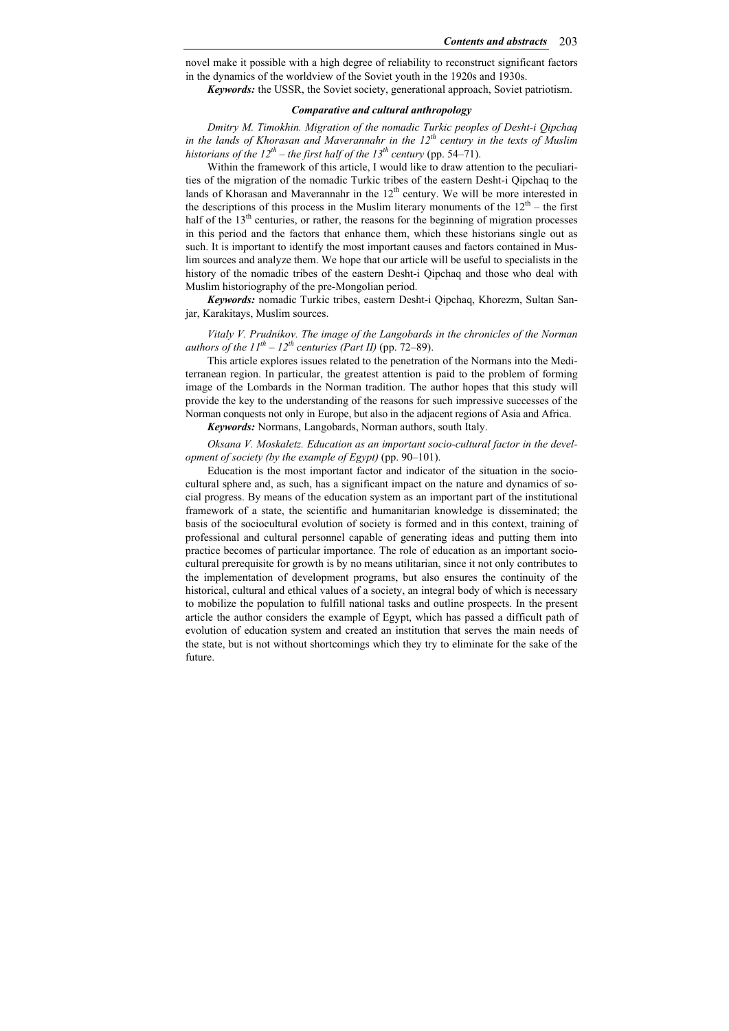novel make it possible with a high degree of reliability to reconstruct significant factors in the dynamics of the worldview of the Soviet youth in the 1920s and 1930s.

*Keywords:* the USSR, the Soviet society, generational approach, Soviet patriotism.

## *Comparative and cultural anthropology*

*Dmitry M. Timokhin. Migration of the nomadic Turkic peoples of Desht-i Qipchaq in the lands of Khorasan and Maverannahr in the 12th century in the texts of Muslim historians of the*  $12^{th}$  *– the first half of the 13<sup>th</sup> century (pp. 54–71).* 

Within the framework of this article, I would like to draw attention to the peculiarities of the migration of the nomadic Turkic tribes of the eastern Desht-i Qipchaq to the lands of Khorasan and Maverannahr in the 12<sup>th</sup> century. We will be more interested in the descriptions of this process in the Muslim literary monuments of the  $12<sup>th</sup>$  – the first half of the  $13<sup>th</sup>$  centuries, or rather, the reasons for the beginning of migration processes in this period and the factors that enhance them, which these historians single out as such. It is important to identify the most important causes and factors contained in Muslim sources and analyze them. We hope that our article will be useful to specialists in the history of the nomadic tribes of the eastern Desht-i Qipchaq and those who deal with Muslim historiography of the pre-Mongolian period.

*Keywords:* nomadic Turkic tribes, eastern Desht-i Qipchaq, Khorezm, Sultan Sanjar, Karakitays, Muslim sources.

*Vitaly V. Prudnikov. The image of the Langobards in the chronicles of the Norman authors of the*  $11^{th} - 12^{th}$  *centuries (Part II)* (pp. 72–89).

This article explores issues related to the penetration of the Normans into the Mediterranean region. In particular, the greatest attention is paid to the problem of forming image of the Lombards in the Norman tradition. The author hopes that this study will provide the key to the understanding of the reasons for such impressive successes of the Norman conquests not only in Europe, but also in the adjacent regions of Asia and Africa.

*Keywords:* Normans, Langobards, Norman authors, south Italy.

*Oksana V. Moskaletz. Education as an important socio-cultural factor in the development of society (by the example of Egypt)* (pp. 90–101).

Education is the most important factor and indicator of the situation in the sociocultural sphere and, as such, has a significant impact on the nature and dynamics of social progress. By means of the education system as an important part of the institutional framework of a state, the scientific and humanitarian knowledge is disseminated; the basis of the sociocultural evolution of society is formed and in this context, training of professional and cultural personnel capable of generating ideas and putting them into practice becomes of particular importance. The role of education as an important sociocultural prerequisite for growth is by no means utilitarian, since it not only contributes to the implementation of development programs, but also ensures the continuity of the historical, cultural and ethical values of a society, an integral body of which is necessary to mobilize the population to fulfill national tasks and outline prospects. In the present article the author considers the example of Egypt, which has passed a difficult path of evolution of education system and created an institution that serves the main needs of the state, but is not without shortcomings which they try to eliminate for the sake of the future.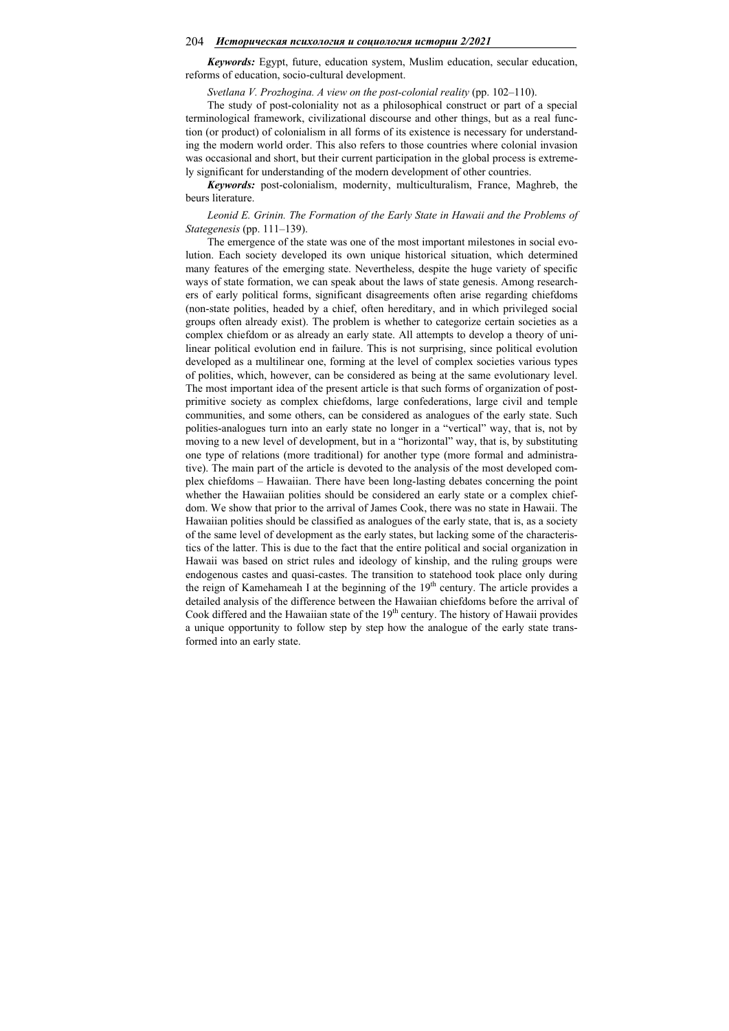#### 204 *Историческая психология и социология истории 2/2021*

*Keywords:* Egypt, future, education system, Muslim education, secular education, reforms of education, socio-cultural development.

*Svetlana V. Prozhogina. A view on the post-colonial reality* (pp. 102–110).

The study of post-coloniality not as a philosophical construct or part of a special terminological framework, civilizational discourse and other things, but as a real function (or product) of colonialism in all forms of its existence is necessary for understanding the modern world order. This also refers to those countries where colonial invasion was occasional and short, but their current participation in the global process is extremely significant for understanding of the modern development of other countries.

*Keywords:* post-colonialism, modernity, multiculturalism, France, Maghreb, the beurs literature.

*Leonid E. Grinin. The Formation of the Early State in Hawaii and the Problems of Stategenesis* (pp. 111–139).

The emergence of the state was one of the most important milestones in social evolution. Each society developed its own unique historical situation, which determined many features of the emerging state. Nevertheless, despite the huge variety of specific ways of state formation, we can speak about the laws of state genesis. Among researchers of early political forms, significant disagreements often arise regarding chiefdoms (non-state polities, headed by a chief, often hereditary, and in which privileged social groups often already exist). The problem is whether to categorize certain societies as a complex chiefdom or as already an early state. All attempts to develop a theory of unilinear political evolution end in failure. This is not surprising, since political evolution developed as a multilinear one, forming at the level of complex societies various types of polities, which, however, can be considered as being at the same evolutionary level. The most important idea of the present article is that such forms of organization of postprimitive society as complex chiefdoms, large confederations, large civil and temple communities, and some others, can be considered as analogues of the early state. Such polities-analogues turn into an early state no longer in a "vertical" way, that is, not by moving to a new level of development, but in a "horizontal" way, that is, by substituting one type of relations (more traditional) for another type (more formal and administrative). The main part of the article is devoted to the analysis of the most developed complex chiefdoms – Hawaiian. There have been long-lasting debates concerning the point whether the Hawaiian polities should be considered an early state or a complex chiefdom. We show that prior to the arrival of James Cook, there was no state in Hawaii. The Hawaiian polities should be classified as analogues of the early state, that is, as a society of the same level of development as the early states, but lacking some of the characteristics of the latter. This is due to the fact that the entire political and social organization in Hawaii was based on strict rules and ideology of kinship, and the ruling groups were endogenous castes and quasi-castes. The transition to statehood took place only during the reign of Kamehameah I at the beginning of the  $19<sup>th</sup>$  century. The article provides a detailed analysis of the difference between the Hawaiian chiefdoms before the arrival of Cook differed and the Hawaiian state of the 19<sup>th</sup> century. The history of Hawaii provides a unique opportunity to follow step by step how the analogue of the early state transformed into an early state.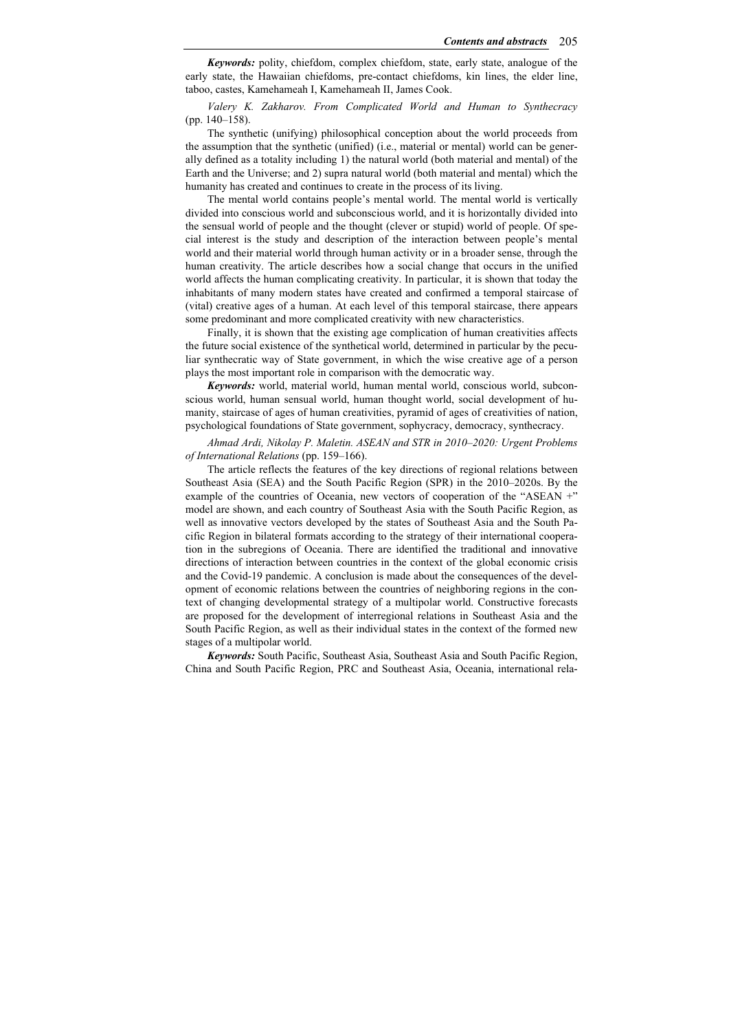*Keywords:* polity, chiefdom, complex chiefdom, state, early state, analogue of the early state, the Hawaiian chiefdoms, pre-contact chiefdoms, kin lines, the elder line, taboo, castes, Kamehameah I, Kamehameah II, James Cook.

*Valery K. Zakharov. From Complicated World and Human to Synthecracy*  (pp. 140–158).

The synthetic (unifying) philosophical conception about the world proceeds from the assumption that the synthetic (unified) (i.e., material or mental) world can be generally defined as a totality including 1) the natural world (both material and mental) of the Earth and the Universe; and 2) supra natural world (both material and mental) which the humanity has created and continues to create in the process of its living.

The mental world contains people's mental world. The mental world is vertically divided into conscious world and subconscious world, and it is horizontally divided into the sensual world of people and the thought (clever or stupid) world of people. Of special interest is the study and description of the interaction between people's mental world and their material world through human activity or in a broader sense, through the human creativity. The article describes how a social change that occurs in the unified world affects the human complicating creativity. In particular, it is shown that today the inhabitants of many modern states have created and confirmed a temporal staircase of (vital) creative ages of a human. At each level of this temporal staircase, there appears some predominant and more complicated creativity with new characteristics.

Finally, it is shown that the existing age complication of human creativities affects the future social existence of the synthetical world, determined in particular by the peculiar synthecratic way of State government, in which the wise creative age of a person plays the most important role in comparison with the democratic way.

*Keywords:* world, material world, human mental world, conscious world, subconscious world, human sensual world, human thought world, social development of humanity, staircase of ages of human creativities, pyramid of ages of creativities of nation, psychological foundations of State government, sophycracy, democracy, synthecracy.

*Ahmad Ardi, Nikolay P. Maletin. ASEAN and STR in 2010–2020: Urgent Problems of International Relations* (pp. 159–166).

The article reflects the features of the key directions of regional relations between Southeast Asia (SEA) and the South Pacific Region (SPR) in the 2010–2020s. By the example of the countries of Oceania, new vectors of cooperation of the "ASEAN +" model are shown, and each country of Southeast Asia with the South Pacific Region, as well as innovative vectors developed by the states of Southeast Asia and the South Pacific Region in bilateral formats according to the strategy of their international cooperation in the subregions of Oceania. There are identified the traditional and innovative directions of interaction between countries in the context of the global economic crisis and the Covid-19 pandemic. A conclusion is made about the consequences of the development of economic relations between the countries of neighboring regions in the context of changing developmental strategy of a multipolar world. Constructive forecasts are proposed for the development of interregional relations in Southeast Asia and the South Pacific Region, as well as their individual states in the context of the formed new stages of a multipolar world.

*Keywords:* South Pacific, Southeast Asia, Southeast Asia and South Pacific Region, China and South Pacific Region, PRC and Southeast Asia, Oceania, international rela-